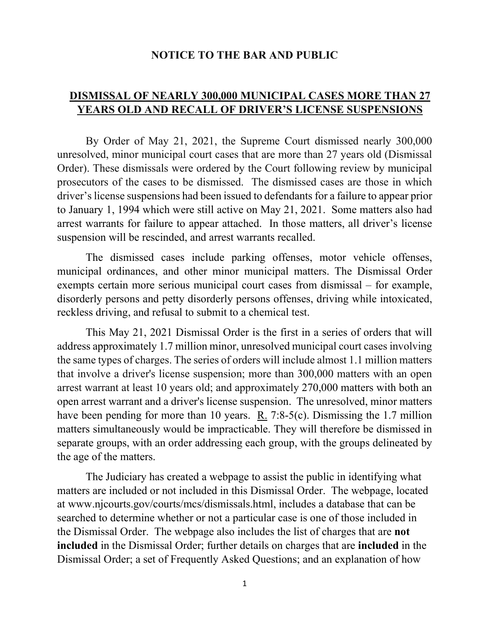## **NOTICE TO THE BAR AND PUBLIC**

## **DISMISSAL OF NEARLY 300,000 MUNICIPAL CASES MORE THAN 27 YEARS OLD AND RECALL OF DRIVER'S LICENSE SUSPENSIONS**

By Order of May 21, 2021, the Supreme Court dismissed nearly 300,000 unresolved, minor municipal court cases that are more than 27 years old (Dismissal Order). These dismissals were ordered by the Court following review by municipal prosecutors of the cases to be dismissed. The dismissed cases are those in which driver's license suspensions had been issued to defendants for a failure to appear prior to January 1, 1994 which were still active on May 21, 2021. Some matters also had arrest warrants for failure to appear attached. In those matters, all driver's license suspension will be rescinded, and arrest warrants recalled.

The dismissed cases include parking offenses, motor vehicle offenses, municipal ordinances, and other minor municipal matters. The Dismissal Order exempts certain more serious municipal court cases from dismissal – for example, disorderly persons and petty disorderly persons offenses, driving while intoxicated, reckless driving, and refusal to submit to a chemical test.

This May 21, 2021 Dismissal Order is the first in a series of orders that will address approximately 1.7 million minor, unresolved municipal court cases involving the same types of charges. The series of orders will include almost 1.1 million matters that involve a driver's license suspension; more than 300,000 matters with an open arrest warrant at least 10 years old; and approximately 270,000 matters with both an open arrest warrant and a driver's license suspension. The unresolved, minor matters have been pending for more than 10 years. R. 7:8-5(c). Dismissing the 1.7 million matters simultaneously would be impracticable. They will therefore be dismissed in separate groups, with an order addressing each group, with the groups delineated by the age of the matters.

The Judiciary has created a webpage to assist the public in identifying what matters are included or not included in this Dismissal Order. The webpage, located at www.njcourts.gov/courts/mcs/dismissals.html, includes a database that can be searched to determine whether or not a particular case is one of those included in the Dismissal Order. The webpage also includes the list of charges that are **not included** in the Dismissal Order; further details on charges that are **included** in the Dismissal Order; a set of Frequently Asked Questions; and an explanation of how